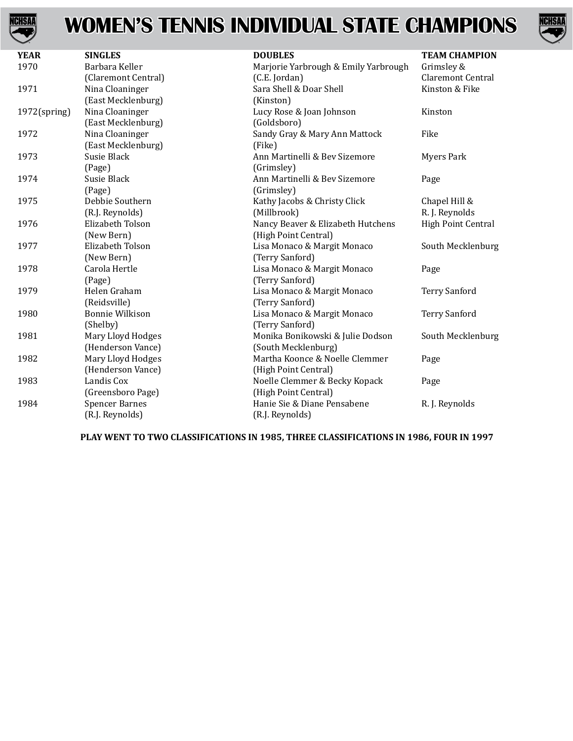

## **WOMEN'S TENNIS INDIVIDUAL STATE CHAMPIONS**



| <b>YEAR</b>     | <b>SINGLES</b>         | <b>DOUBLES</b>                       | <b>TEAM CHAMPION</b> |
|-----------------|------------------------|--------------------------------------|----------------------|
| 1970            | Barbara Keller         | Marjorie Yarbrough & Emily Yarbrough | Grimsley &           |
|                 | (Claremont Central)    | (C.E. Jordan)                        | Claremont Central    |
| 1971            | Nina Cloaninger        | Sara Shell & Doar Shell              | Kinston & Fike       |
|                 | (East Mecklenburg)     | (Kinston)                            |                      |
| $1972$ (spring) | Nina Cloaninger        | Lucy Rose & Joan Johnson             | Kinston              |
|                 | (East Mecklenburg)     | (Goldsboro)                          |                      |
| 1972            | Nina Cloaninger        | Sandy Gray & Mary Ann Mattock        | Fike                 |
|                 | (East Mecklenburg)     | (Fike)                               |                      |
| 1973            | Susie Black            | Ann Martinelli & Bev Sizemore        | <b>Myers Park</b>    |
|                 | (Page)                 | (Grimsley)                           |                      |
| 1974            | Susie Black            | Ann Martinelli & Bev Sizemore        | Page                 |
|                 | (Page)                 | (Grimsley)                           |                      |
| 1975            | Debbie Southern        | Kathy Jacobs & Christy Click         | Chapel Hill &        |
|                 | (R.J. Reynolds)        | (Millbrook)                          | R. J. Reynolds       |
| 1976            | Elizabeth Tolson       | Nancy Beaver & Elizabeth Hutchens    | High Point Central   |
|                 | (New Bern)             | (High Point Central)                 |                      |
| 1977            | Elizabeth Tolson       | Lisa Monaco & Margit Monaco          | South Mecklenburg    |
|                 | (New Bern)             | (Terry Sanford)                      |                      |
| 1978            | Carola Hertle          | Lisa Monaco & Margit Monaco          | Page                 |
|                 | (Page)                 | (Terry Sanford)                      |                      |
| 1979            | Helen Graham           | Lisa Monaco & Margit Monaco          | <b>Terry Sanford</b> |
|                 | (Reidsville)           | (Terry Sanford)                      |                      |
| 1980            | <b>Bonnie Wilkison</b> | Lisa Monaco & Margit Monaco          | <b>Terry Sanford</b> |
|                 | (Shelby)               | (Terry Sanford)                      |                      |
| 1981            | Mary Lloyd Hodges      | Monika Bonikowski & Julie Dodson     | South Mecklenburg    |
|                 | (Henderson Vance)      | (South Mecklenburg)                  |                      |
| 1982            | Mary Lloyd Hodges      | Martha Koonce & Noelle Clemmer       | Page                 |
|                 | (Henderson Vance)      | (High Point Central)                 |                      |
| 1983            | Landis Cox             | Noelle Clemmer & Becky Kopack        | Page                 |
|                 | (Greensboro Page)      | (High Point Central)                 |                      |
| 1984            | <b>Spencer Barnes</b>  | Hanie Sie & Diane Pensabene          | R. J. Reynolds       |
|                 | (R.J. Reynolds)        | (R.J. Reynolds)                      |                      |

**PLAY WENT TO TWO CLASSIFICATIONS IN 1985, THREE CLASSIFICATIONS IN 1986, FOUR IN 1997**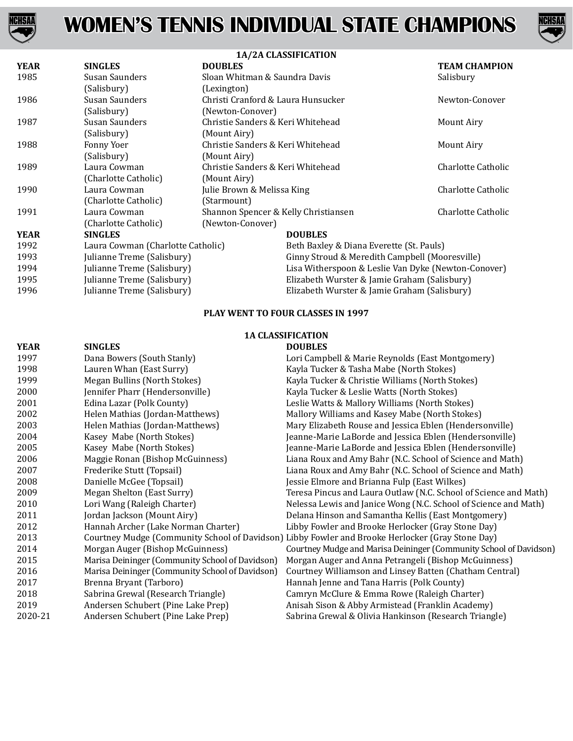



| 1A/2A CLASSIFICATION              |                                      |                                                     |                                    |  |
|-----------------------------------|--------------------------------------|-----------------------------------------------------|------------------------------------|--|
| <b>SINGLES</b>                    | <b>DOUBLES</b>                       |                                                     | <b>TEAM CHAMPION</b>               |  |
| Susan Saunders                    | Sloan Whitman & Saundra Davis        |                                                     | Salisbury                          |  |
| (Salisbury)                       | (Lexington)                          |                                                     |                                    |  |
| Susan Saunders                    |                                      |                                                     | Newton-Conover                     |  |
| (Salisbury)                       | (Newton-Conover)                     |                                                     |                                    |  |
| Susan Saunders                    | Christie Sanders & Keri Whitehead    |                                                     | Mount Airy                         |  |
| (Salisbury)                       | (Mount Airy)                         |                                                     |                                    |  |
| Fonny Yoer                        | Christie Sanders & Keri Whitehead    |                                                     | Mount Airy                         |  |
| (Salisbury)                       | (Mount Airy)                         |                                                     |                                    |  |
| Laura Cowman                      | Christie Sanders & Keri Whitehead    |                                                     | Charlotte Catholic                 |  |
| (Charlotte Catholic)              | (Mount Airy)                         |                                                     |                                    |  |
| Laura Cowman                      | Julie Brown & Melissa King           |                                                     | Charlotte Catholic                 |  |
| (Charlotte Catholic)              | (Starmount)                          |                                                     |                                    |  |
| Laura Cowman                      | Shannon Spencer & Kelly Christiansen |                                                     | Charlotte Catholic                 |  |
| (Charlotte Catholic)              | (Newton-Conover)                     |                                                     |                                    |  |
| <b>SINGLES</b>                    |                                      | <b>DOUBLES</b>                                      |                                    |  |
| Laura Cowman (Charlotte Catholic) |                                      | Beth Baxley & Diana Everette (St. Pauls)            |                                    |  |
| Julianne Treme (Salisbury)        |                                      | Ginny Stroud & Meredith Campbell (Mooresville)      |                                    |  |
| Julianne Treme (Salisbury)        |                                      | Lisa Witherspoon & Leslie Van Dyke (Newton-Conover) |                                    |  |
| Julianne Treme (Salisbury)        |                                      | Elizabeth Wurster & Jamie Graham (Salisbury)        |                                    |  |
| Julianne Treme (Salisbury)        |                                      | Elizabeth Wurster & Jamie Graham (Salisbury)        |                                    |  |
|                                   |                                      |                                                     | Christi Cranford & Laura Hunsucker |  |

## **PLAY WENT TO FOUR CLASSES IN 1997**

## **1A CLASSIFICATION**

| <b>YEAR</b> | <b>SINGLES</b>                                  | <b>DOUBLES</b>                                                                                   |
|-------------|-------------------------------------------------|--------------------------------------------------------------------------------------------------|
| 1997        | Dana Bowers (South Stanly)                      | Lori Campbell & Marie Reynolds (East Montgomery)                                                 |
| 1998        | Lauren Whan (East Surry)                        | Kayla Tucker & Tasha Mabe (North Stokes)                                                         |
| 1999        | Megan Bullins (North Stokes)                    | Kayla Tucker & Christie Williams (North Stokes)                                                  |
| 2000        | Jennifer Pharr (Hendersonville)                 | Kayla Tucker & Leslie Watts (North Stokes)                                                       |
| 2001        | Edina Lazar (Polk County)                       | Leslie Watts & Mallory Williams (North Stokes)                                                   |
| 2002        | Helen Mathias (Jordan-Matthews)                 | Mallory Williams and Kasey Mabe (North Stokes)                                                   |
| 2003        | Helen Mathias (Jordan-Matthews)                 | Mary Elizabeth Rouse and Jessica Eblen (Hendersonville)                                          |
| 2004        | Kasey Mabe (North Stokes)                       | Jeanne-Marie LaBorde and Jessica Eblen (Hendersonville)                                          |
| 2005        | Kasey Mabe (North Stokes)                       | Jeanne-Marie LaBorde and Jessica Eblen (Hendersonville)                                          |
| 2006        | Maggie Ronan (Bishop McGuinness)                | Liana Roux and Amy Bahr (N.C. School of Science and Math)                                        |
| 2007        | Frederike Stutt (Topsail)                       | Liana Roux and Amy Bahr (N.C. School of Science and Math)                                        |
| 2008        | Danielle McGee (Topsail)                        | Jessie Elmore and Brianna Fulp (East Wilkes)                                                     |
| 2009        | Megan Shelton (East Surry)                      | Teresa Pincus and Laura Outlaw (N.C. School of Science and Math)                                 |
| 2010        | Lori Wang (Raleigh Charter)                     | Nelessa Lewis and Janice Wong (N.C. School of Science and Math)                                  |
| 2011        | Jordan Jackson (Mount Airy)                     | Delana Hinson and Samantha Kellis (East Montgomery)                                              |
| 2012        | Hannah Archer (Lake Norman Charter)             | Libby Fowler and Brooke Herlocker (Gray Stone Day)                                               |
| 2013        |                                                 | Courtney Mudge (Community School of Davidson) Libby Fowler and Brooke Herlocker (Gray Stone Day) |
| 2014        | Morgan Auger (Bishop McGuinness)                | Courtney Mudge and Marisa Deininger (Community School of Davidson)                               |
| 2015        | Marisa Deininger (Community School of Davidson) | Morgan Auger and Anna Petrangeli (Bishop McGuinness)                                             |
| 2016        | Marisa Deininger (Community School of Davidson) | Courtney Williamson and Linsey Batten (Chatham Central)                                          |
| 2017        | Brenna Bryant (Tarboro)                         | Hannah Jenne and Tana Harris (Polk County)                                                       |
| 2018        | Sabrina Grewal (Research Triangle)              | Camryn McClure & Emma Rowe (Raleigh Charter)                                                     |
| 2019        | Andersen Schubert (Pine Lake Prep)              | Anisah Sison & Abby Armistead (Franklin Academy)                                                 |
| 2020-21     | Andersen Schubert (Pine Lake Prep)              | Sabrina Grewal & Olivia Hankinson (Research Triangle)                                            |
|             |                                                 |                                                                                                  |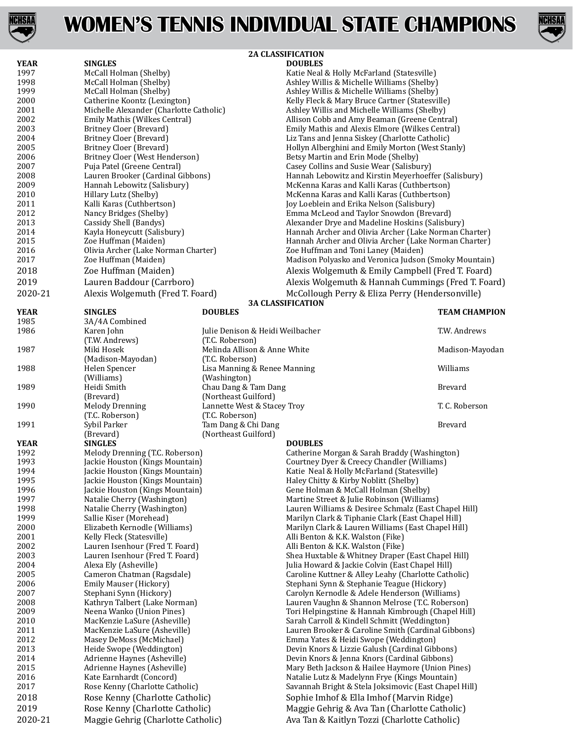



|              | <b>2A CLASSIFICATION</b>                                                |                                      |                                                                                                                |                      |
|--------------|-------------------------------------------------------------------------|--------------------------------------|----------------------------------------------------------------------------------------------------------------|----------------------|
| <b>YEAR</b>  | <b>SINGLES</b>                                                          |                                      | <b>DOUBLES</b>                                                                                                 |                      |
| 1997         | McCall Holman (Shelby)                                                  |                                      | Katie Neal & Holly McFarland (Statesville)                                                                     |                      |
| 1998         | McCall Holman (Shelby)                                                  |                                      | Ashley Willis & Michelle Williams (Shelby)                                                                     |                      |
| 1999         | McCall Holman (Shelby)                                                  |                                      | Ashley Willis & Michelle Williams (Shelby)                                                                     |                      |
| 2000<br>2001 | Catherine Koontz (Lexington)<br>Michelle Alexander (Charlotte Catholic) |                                      | Kelly Fleck & Mary Bruce Cartner (Statesville)                                                                 |                      |
| 2002         | Emily Mathis (Wilkes Central)                                           |                                      | Ashley Willis and Michelle Williams (Shelby)<br>Allison Cobb and Amy Beaman (Greene Central)                   |                      |
| 2003         | <b>Britney Cloer (Brevard)</b>                                          |                                      | Emily Mathis and Alexis Elmore (Wilkes Central)                                                                |                      |
| 2004         | <b>Britney Cloer (Brevard)</b>                                          |                                      | Liz Tans and Jenna Siskey (Charlotte Catholic)                                                                 |                      |
| 2005         | Britney Cloer (Brevard)                                                 |                                      | Hollyn Alberghini and Emily Morton (West Stanly)                                                               |                      |
| 2006         | Britney Cloer (West Henderson)                                          |                                      | Betsy Martin and Erin Mode (Shelby)                                                                            |                      |
| 2007         | Puja Patel (Greene Central)                                             |                                      | Casey Collins and Susie Wear (Salisbury)                                                                       |                      |
| 2008         | Lauren Brooker (Cardinal Gibbons)                                       |                                      | Hannah Lebowitz and Kirstin Meyerhoeffer (Salisbury)                                                           |                      |
| 2009         | Hannah Lebowitz (Salisbury)                                             |                                      | McKenna Karas and Kalli Karas (Cuthbertson)                                                                    |                      |
| 2010         | Hillary Lutz (Shelby)                                                   |                                      | McKenna Karas and Kalli Karas (Cuthbertson)                                                                    |                      |
| 2011         | Kalli Karas (Cuthbertson)                                               |                                      | Joy Loeblein and Erika Nelson (Salisbury)                                                                      |                      |
| 2012<br>2013 | Nancy Bridges (Shelby)<br>Cassidy Shell (Bandys)                        |                                      | Emma McLeod and Taylor Snowdon (Brevard)                                                                       |                      |
| 2014         | Kayla Honeycutt (Salisbury)                                             |                                      | Alexander Drye and Madeline Hoskins (Salisbury)                                                                |                      |
| 2015         | Zoe Huffman (Maiden)                                                    |                                      | Hannah Archer and Olivia Archer (Lake Norman Charter)<br>Hannah Archer and Olivia Archer (Lake Norman Charter) |                      |
| 2016         | Olivia Archer (Lake Norman Charter)                                     |                                      | Zoe Huffman and Toni Laney (Maiden)                                                                            |                      |
| 2017         | Zoe Huffman (Maiden)                                                    |                                      | Madison Polyasko and Veronica Judson (Smoky Mountain)                                                          |                      |
| 2018         | Zoe Huffman (Maiden)                                                    |                                      | Alexis Wolgemuth & Emily Campbell (Fred T. Foard)                                                              |                      |
| 2019         | Lauren Baddour (Carrboro)                                               |                                      | Alexis Wolgemuth & Hannah Cummings (Fred T. Foard)                                                             |                      |
| 2020-21      | Alexis Wolgemuth (Fred T. Foard)                                        |                                      | McCollough Perry & Eliza Perry (Hendersonville)                                                                |                      |
|              |                                                                         |                                      | <b>3A CLASSIFICATION</b>                                                                                       |                      |
| <b>YEAR</b>  | <b>SINGLES</b>                                                          | <b>DOUBLES</b>                       |                                                                                                                | <b>TEAM CHAMPION</b> |
| 1985         | 3A/4A Combined                                                          |                                      |                                                                                                                |                      |
| 1986         | Karen John                                                              | Julie Denison & Heidi Weilbacher     |                                                                                                                | T.W. Andrews         |
|              | (T.W. Andrews)                                                          | (T.C. Roberson)                      |                                                                                                                |                      |
| 1987         | Miki Hosek                                                              | Melinda Allison & Anne White         |                                                                                                                | Madison-Mayodan      |
|              | (Madison-Mayodan)                                                       | (T.C. Roberson)                      |                                                                                                                |                      |
| 1988         | Helen Spencer                                                           | Lisa Manning & Renee Manning         |                                                                                                                | Williams             |
| 1989         | (Williams)<br>Heidi Smith                                               | (Washington)<br>Chau Dang & Tam Dang |                                                                                                                | <b>Brevard</b>       |
|              | (Brevard)                                                               | (Northeast Guilford)                 |                                                                                                                |                      |
| 1990         | <b>Melody Drenning</b>                                                  | Lannette West & Stacey Troy          |                                                                                                                | T. C. Roberson       |
|              | (T.C. Roberson)                                                         | (T.C. Roberson)                      |                                                                                                                |                      |
| 1991         | Sybil Parker                                                            | Tam Dang & Chi Dang                  |                                                                                                                | <b>Brevard</b>       |
|              | (Brevard)                                                               | (Northeast Guilford)                 |                                                                                                                |                      |
| <b>YEAR</b>  | <b>SINGLES</b>                                                          |                                      | <b>DOUBLES</b>                                                                                                 |                      |
| 1992         | Melody Drenning (T.C. Roberson)                                         |                                      | Catherine Morgan & Sarah Braddy (Washington)                                                                   |                      |
| 1993<br>1994 | Jackie Houston (Kings Mountain)<br>Jackie Houston (Kings Mountain)      |                                      | Courtney Dyer & Creecy Chandler (Williams)<br>Katie Neal & Holly McFarland (Statesville)                       |                      |
| 1995         | Jackie Houston (Kings Mountain)                                         |                                      | Haley Chitty & Kirby Noblitt (Shelby)                                                                          |                      |
| 1996         | Jackie Houston (Kings Mountain)                                         |                                      | Gene Holman & McCall Holman (Shelby)                                                                           |                      |
| 1997         | Natalie Cherry (Washington)                                             |                                      | Martine Street & Julie Robinson (Williams)                                                                     |                      |
| 1998         | Natalie Cherry (Washington)                                             |                                      | Lauren Williams & Desiree Schmalz (East Chapel Hill)                                                           |                      |
| 1999         | Sallie Kiser (Morehead)                                                 |                                      | Marilyn Clark & Tiphanie Clark (East Chapel Hill)                                                              |                      |
| 2000         | Elizabeth Kernodle (Williams)                                           |                                      | Marilyn Clark & Lauren Williams (East Chapel Hill)                                                             |                      |
| 2001         | Kelly Fleck (Statesville)                                               |                                      | Alli Benton & K.K. Walston (Fike)                                                                              |                      |
| 2002         | Lauren Isenhour (Fred T. Foard)                                         |                                      | Alli Benton & K.K. Walston (Fike)                                                                              |                      |
| 2003<br>2004 | Lauren Isenhour (Fred T. Foard)<br>Alexa Ely (Asheville)                |                                      | Shea Huxtable & Whitney Draper (East Chapel Hill)<br>Julia Howard & Jackie Colvin (East Chapel Hill)           |                      |
| 2005         | Cameron Chatman (Ragsdale)                                              |                                      | Caroline Kuttner & Alley Leahy (Charlotte Catholic)                                                            |                      |
| 2006         | Emily Mauser (Hickory)                                                  |                                      | Stephani Synn & Stephanie Teague (Hickory)                                                                     |                      |
| 2007         | Stephani Synn (Hickory)                                                 |                                      | Carolyn Kernodle & Adele Henderson (Williams)                                                                  |                      |
| 2008         | Kathryn Talbert (Lake Norman)                                           |                                      | Lauren Vaughn & Shannon Melrose (T.C. Roberson)                                                                |                      |
| 2009         | Neena Wanko (Union Pines)                                               |                                      | Tori Helpingstine & Hannah Kimbrough (Chapel Hill)                                                             |                      |
| 2010         | MacKenzie LaSure (Asheville)                                            |                                      | Sarah Carroll & Kindell Schmitt (Weddington)                                                                   |                      |
| 2011         | MacKenzie LaSure (Asheville)                                            |                                      | Lauren Brooker & Caroline Smith (Cardinal Gibbons)                                                             |                      |
| 2012         | Masey DeMoss (McMichael)                                                |                                      | Emma Yates & Heidi Swope (Weddington)                                                                          |                      |
| 2013         | Heide Swope (Weddington)                                                |                                      | Devin Knors & Lizzie Galush (Cardinal Gibbons)                                                                 |                      |
| 2014<br>2015 | Adrienne Haynes (Asheville)<br>Adrienne Haynes (Asheville)              |                                      | Devin Knors & Jenna Knors (Cardinal Gibbons)<br>Mary Beth Jackson & Hailee Haymore (Union Pines)               |                      |
| 2016         | Kate Earnhardt (Concord)                                                |                                      | Natalie Lutz & Madelynn Frye (Kings Mountain)                                                                  |                      |
| 2017         | Rose Kenny (Charlotte Catholic)                                         |                                      | Savannah Bright & Stela Joksimovic (East Chapel Hill)                                                          |                      |
| 2018         | Rose Kenny (Charlotte Catholic)                                         |                                      | Sophie Imhof & Ella Imhof (Marvin Ridge)                                                                       |                      |
| 2019         | Rose Kenny (Charlotte Catholic)                                         |                                      | Maggie Gehrig & Ava Tan (Charlotte Catholic)                                                                   |                      |
|              |                                                                         |                                      |                                                                                                                |                      |

2020-21 Maggie Gehrig (Charlotte Catholic) Ava Tan & Kaitlyn Tozzi (Charlotte Catholic)